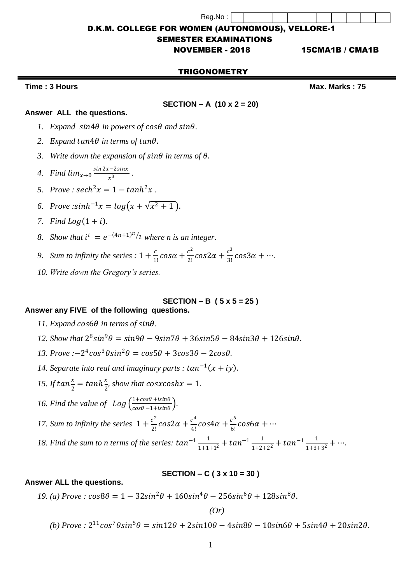Reg.No :

D.K.M. COLLEGE FOR WOMEN (AUTONOMOUS), VELLORE-1

#### SEMESTER EXAMINATIONS

NOVEMBER - 2018 15CMA1B / CMA1B

#### TRIGONOMETRY

## **Time : 3 Hours Max. Marks : 75**

#### **SECTION – A (10 x 2 = 20)**

## **Answer ALL the questions.**

- *l. Expand*  $sin4\theta$  *in powers of*  $cos\theta$  *and*  $sin\theta$ *.*
- 2. *Expand tan* $4\theta$  *in terms of tan* $\theta$ .
- 3. Write down the expansion of  $sin\theta$  in terms of  $\theta$ .
- 4. Find  $\lim_{x\to 0} \frac{\sin 2x 2\sin x}{x^3}$  $\frac{x^3}{x^3}$ .
- *5.*  $Prove: sech^2 x = 1 tanh^2 x$ .
- *6. Prove* :  $sinh^{-1}x = log(x + \sqrt{x^2 + 1})$ .
- *7. Find Log* $(1 + i)$ *.*
- 8. *Show that*  $i^i = e^{-(4n+1)\pi/2}$  *where n is an integer.*
- 9. *Sum to infinity the series* :  $1 + \frac{c}{1}$  $\frac{c}{1!}cos\alpha + \frac{c^2}{2!}$  $\frac{c^2}{2!}cos 2\alpha + \frac{c^3}{3!}$  $\frac{c}{3!}cos3\alpha + \cdots$
- *10. Write down the Gregory's series.*

# **SECTION – B ( 5 x 5 = 25 )**

## **Answer any FIVE of the following questions.**

- 11. Expand  $cos6\theta$  in terms of  $sin\theta$ .
- 12. *Show that*  $2^8 \sin^9 \theta = \sin 9\theta 9 \sin 7\theta + 36 \sin 5\theta 84 \sin 3\theta + 126 \sin \theta$ .
- $13. Prove: -2^4 \cos^3 \theta \sin^2 \theta = \cos 5\theta + 3\cos 3\theta 2\cos \theta.$
- 14. Separate into real and imaginary parts :  $tan^{-1}(x + iy)$ .
- 15. *If tan*  $\frac{x}{2}$  $\frac{x}{2} = \tanh\frac{x}{2}$  $\frac{x}{2}$ , show that **cosxcoshx** = 1.
- 16. Find the value of  $Log\left(\frac{1+cos\theta+isin\theta}{cos\theta-1+isin\theta}\right)$  $\frac{1+cos\theta+isin\theta}{cos\theta-1+isin\theta}$ .

**Answer ALL the questions.**

17. Sum to infinity the series  $1 + \frac{c^2}{2!}$  $\frac{c^2}{2!}cos 2\alpha + \frac{c^4}{4!}$  $\frac{c^4}{4!}$ cos $4\alpha + \frac{c^6}{6!}$  $\frac{c}{6!}$ cos6a + …

18. Find the sum to n terms of the series:  $tan^{-1}$  $\frac{1}{1+1}$  $\frac{1}{1+1+1^2}$  +  $tan^{-1}$   $\frac{1}{1+2}$ .  $\frac{1}{1+2+2^2}$  +  $tan^{-1}$   $\frac{1}{1+3}$  $\frac{1}{1+3+3^2} + \cdots$ 

## **SECTION – C ( 3 x 10 = 30 )**

# $19. (a) Prove: \cos 8\theta = 1 - 32\sin^2 \theta + 160\sin^4 \theta - 256\sin^6 \theta + 128\sin^8 \theta.$

*(Or)*

(b)  $Prove: 2^{11}cos^7\theta sin^5\theta = sin12\theta + 2sin10\theta - 4sin8\theta - 10sin6\theta + 5sin4\theta + 20sin2\theta$ .